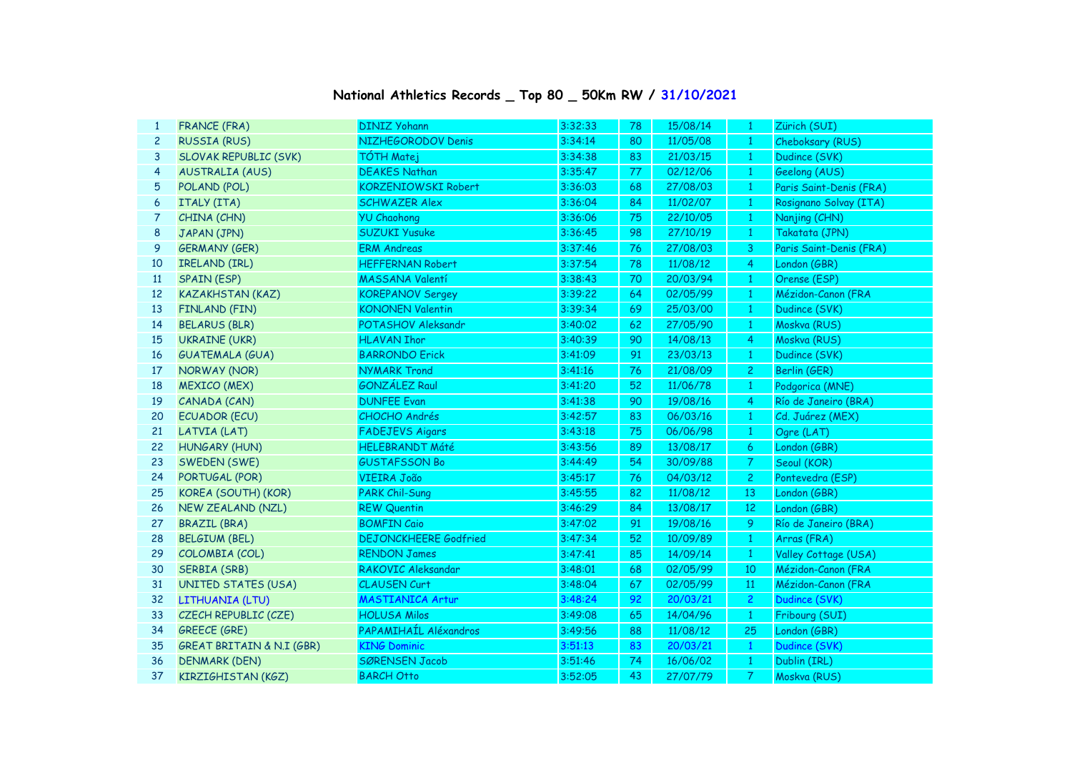## **National Athletics Records \_ Top 80 \_ 50Km RW / 31/10/2021**

| 1              | <b>FRANCE (FRA)</b>                  | <b>DINIZ Yohann</b>          | 3:32:33 | 78              | 15/08/14 | -1              | Zürich (SUI)            |
|----------------|--------------------------------------|------------------------------|---------|-----------------|----------|-----------------|-------------------------|
| $\overline{c}$ | <b>RUSSIA (RUS)</b>                  | NIZHEGORODOV Denis           | 3:34:14 | 80              | 11/05/08 | $\mathbf{1}$    | Cheboksary (RUS)        |
| 3              | <b>SLOVAK REPUBLIC (SVK)</b>         | <b>TÓTH Matej</b>            | 3:34:38 | 83              | 21/03/15 | $\mathbf{1}$    | Dudince (SVK)           |
| 4              | <b>AUSTRALIA (AUS)</b>               | <b>DEAKES Nathan</b>         | 3:35:47 | 77              | 02/12/06 | $\mathbf{1}$    | Geelong (AUS)           |
| 5              | POLAND (POL)                         | <b>KORZENIOWSKI Robert</b>   | 3:36:03 | 68              | 27/08/03 | $\mathbf{1}$    | Paris Saint-Denis (FRA) |
| 6              | ITALY (ITA)                          | <b>SCHWAZER Alex</b>         | 3:36:04 | 84              | 11/02/07 | $\mathbf{1}$    | Rosignano Solvay (ITA)  |
| 7              | CHINA (CHN)                          | <b>YU Chaohong</b>           | 3:36:06 | 75              | 22/10/05 | $\mathbf{1}$    | Nanjing (CHN)           |
| 8              | JAPAN (JPN)                          | <b>SUZUKI Yusuke</b>         | 3:36:45 | 98              | 27/10/19 | $\mathbf{1}$    | Takatata (JPN)          |
| 9              | <b>GERMANY (GER)</b>                 | <b>ERM Andreas</b>           | 3:37:46 | 76              | 27/08/03 | 3               | Paris Saint-Denis (FRA) |
| 10             | IRELAND (IRL)                        | <b>HEFFERNAN Robert</b>      | 3:37:54 | 78              | 11/08/12 | 4               | London (GBR)            |
| 11             | <b>SPAIN (ESP)</b>                   | MASSANA Valentí              | 3:38:43 | 70              | 20/03/94 | $\mathbf{1}$    | Orense (ESP)            |
| 12             | <b>KAZAKHSTAN (KAZ)</b>              | <b>KOREPANOV Sergey</b>      | 3:39:22 | 64              | 02/05/99 | $\mathbf{1}$    | Mézidon-Canon (FRA      |
| 13             | FINLAND (FIN)                        | <b>KONONEN Valentin</b>      | 3:39:34 | 69              | 25/03/00 | $\mathbf{1}$    | Dudince (SVK)           |
| 14             | <b>BELARUS (BLR)</b>                 | POTASHOV Aleksandr           | 3:40:02 | 62              | 27/05/90 | $\mathbf{1}$    | Moskva (RUS)            |
| 15             | <b>UKRAINE (UKR)</b>                 | <b>HLAVAN Ihor</b>           | 3:40:39 | 90              | 14/08/13 | 4               | Moskva (RUS)            |
| 16             | <b>GUATEMALA (GUA)</b>               | <b>BARRONDO Erick</b>        | 3:41:09 | 91              | 23/03/13 | $\mathbf{1}$    | Dudince (SVK)           |
| 17             | NORWAY (NOR)                         | <b>NYMARK Trond</b>          | 3:41:16 | 76              | 21/08/09 | $\overline{2}$  | Berlin (GER)            |
| 18             | <b>MEXICO (MEX)</b>                  | <b>GONZÁLEZ Raul</b>         | 3:41:20 | 52              | 11/06/78 | $\mathbf{1}$    | Podgorica (MNE)         |
| 19             | CANADA (CAN)                         | <b>DUNFEE Evan</b>           | 3:41:38 | 90              | 19/08/16 | $\overline{4}$  | Río de Janeiro (BRA)    |
| 20             | <b>ECUADOR (ECU)</b>                 | CHOCHO Andrés                | 3:42:57 | 83              | 06/03/16 | $\mathbf{1}$    | Cd. Juárez (MEX)        |
| 21             | LATVIA (LAT)                         | <b>FADEJEVS Aigars</b>       | 3:43:18 | 75              | 06/06/98 | $\mathbf{1}$    | Ogre (LAT)              |
| 22             | <b>HUNGARY (HUN)</b>                 | <b>HELEBRANDT Máté</b>       | 3:43:56 | 89              | 13/08/17 | 6 <sup>1</sup>  | London (GBR)            |
| 23             | SWEDEN (SWE)                         | <b>GUSTAFSSON Bo</b>         | 3:44:49 | 54              | 30/09/88 | 7 <sup>1</sup>  | Seoul (KOR)             |
| 24             | PORTUGAL (POR)                       | <b>VIEIRA João</b>           | 3:45:17 | 76              | 04/03/12 | 2 <sup>1</sup>  | Pontevedra (ESP)        |
| 25             | KOREA (SOUTH) (KOR)                  | <b>PARK Chil-Sung</b>        | 3:45:55 | 82              | 11/08/12 | 13              | London (GBR)            |
| 26             | NEW ZEALAND (NZL)                    | <b>REW Quentin</b>           | 3:46:29 | 84              | 13/08/17 | 12 <sup>2</sup> | London (GBR)            |
| 27             | <b>BRAZIL (BRA)</b>                  | <b>BOMFIN Caio</b>           | 3:47:02 | 91              | 19/08/16 | 9               | Río de Janeiro (BRA)    |
| 28             | <b>BELGIUM (BEL)</b>                 | <b>DEJONCKHEERE Godfried</b> | 3:47:34 | 52 <sub>2</sub> | 10/09/89 | $\mathbf{1}$    | Arras (FRA)             |
| 29             | COLOMBIA (COL)                       | <b>RENDON James</b>          | 3:47:41 | 85              | 14/09/14 | $\mathbf{1}$    | Valley Cottage (USA)    |
| 30             | <b>SERBIA (SRB)</b>                  | RAKOVIC Aleksandar           | 3:48:01 | 68              | 02/05/99 | 10              | Mézidon-Canon (FRA      |
| 31             | <b>UNITED STATES (USA)</b>           | <b>CLAUSEN Curt</b>          | 3:48:04 | 67              | 02/05/99 | 11              | Mézidon-Canon (FRA      |
| 32             | LITHUANIA (LTU)                      | <b>MASTIANICA Artur</b>      | 3:48:24 | 92              | 20/03/21 | $\overline{2}$  | Dudince (SVK)           |
| 33             | CZECH REPUBLIC (CZE)                 | <b>HOLUSA Milos</b>          | 3:49:08 | 65              | 14/04/96 | $\mathbf{1}$    | Fribourg (SUI)          |
| 34             | <b>GREECE (GRE)</b>                  | PAPAMIHAÍL Aléxandros        | 3:49:56 | 88              | 11/08/12 | 25              | London (GBR)            |
| 35             | <b>GREAT BRITAIN &amp; N.I (GBR)</b> | <b>KING Dominic</b>          | 3:51:13 | 83              | 20/03/21 | $\mathbf{1}$    | Dudince (SVK)           |
| 36             | <b>DENMARK (DEN)</b>                 | <b>SØRENSEN Jacob</b>        | 3:51:46 | 74              | 16/06/02 | $\mathbf{1}$    | Dublin (IRL)            |
| 37             | KIRZIGHISTAN (KGZ)                   | <b>BARCH Otto</b>            | 3:52:05 | 43              | 27/07/79 | $\mathcal{T}$   | Moskva (RUS)            |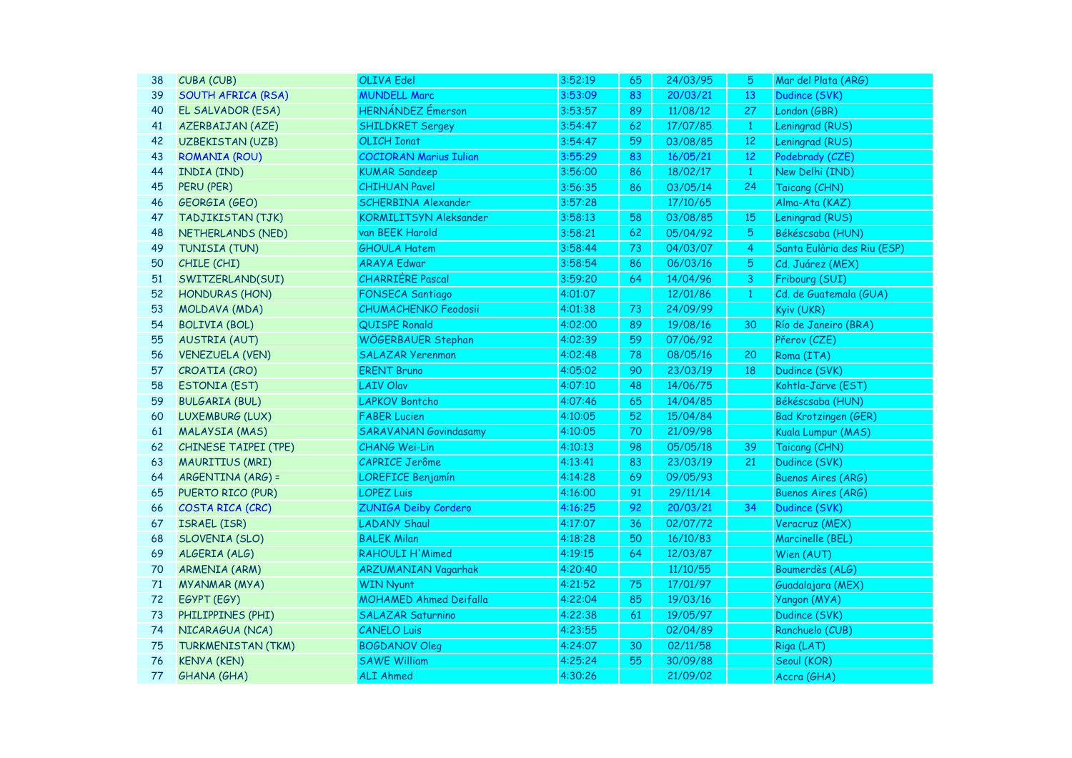| 38 | CUBA (CUB)                  | <b>OLIVA Edel</b>             | 3:52:19 | 65 | 24/03/95 | 5              | Mar del Plata (ARG)         |
|----|-----------------------------|-------------------------------|---------|----|----------|----------------|-----------------------------|
| 39 | SOUTH AFRICA (RSA)          | <b>MUNDELL Marc</b>           | 3:53:09 | 83 | 20/03/21 | 13             | Dudince (SVK)               |
| 40 | EL SALVADOR (ESA)           | HERNÁNDEZ Émerson             | 3:53:57 | 89 | 11/08/12 | 27             | London (GBR)                |
| 41 | <b>AZERBAIJAN (AZE)</b>     | <b>SHILDKRET Sergey</b>       | 3:54:47 | 62 | 17/07/85 | $\mathbf{1}$   | Leningrad (RUS)             |
| 42 | <b>UZBEKISTAN (UZB)</b>     | <b>OLICH Ionat</b>            | 3:54:47 | 59 | 03/08/85 | $12\,$         | Leningrad (RUS)             |
| 43 | <b>ROMANIA (ROU)</b>        | <b>COCIORAN Marius Iulian</b> | 3:55:29 | 83 | 16/05/21 | $12$           | Podebrady (CZE)             |
| 44 | INDIA (IND)                 | <b>KUMAR Sandeep</b>          | 3:56:00 | 86 | 18/02/17 | $\mathbf{1}$   | New Delhi (IND)             |
| 45 | PERU (PER)                  | <b>CHIHUAN Pavel</b>          | 3:56:35 | 86 | 03/05/14 | 24             | Taicang (CHN)               |
| 46 | <b>GEORGIA (GEO)</b>        | SCHERBINA Alexander           | 3:57:28 |    | 17/10/65 |                | Alma-Ata (KAZ)              |
| 47 | TADJIKISTAN (TJK)           | <b>KORMILITSYN Aleksander</b> | 3:58:13 | 58 | 03/08/85 | 15             | Leningrad (RUS)             |
| 48 | NETHERLANDS (NED)           | van BEEK Harold               | 3:58:21 | 62 | 05/04/92 | 5              | Békéscsaba (HUN)            |
| 49 | TUNISIA (TUN)               | <b>GHOULA Hatem</b>           | 3:58:44 | 73 | 04/03/07 | $\overline{4}$ | Santa Eulària des Riu (ESP) |
| 50 | CHILE (CHI)                 | <b>ARAYA Edwar</b>            | 3:58:54 | 86 | 06/03/16 | 5              | Cd. Juárez (MEX)            |
| 51 | SWITZERLAND(SUI)            | <b>CHARRIÈRE Pascal</b>       | 3:59:20 | 64 | 14/04/96 | 3              | Fribourg (SUI)              |
| 52 | <b>HONDURAS (HON)</b>       | <b>FONSECA Santiago</b>       | 4:01:07 |    | 12/01/86 | $\mathbf{1}$   | Cd. de Guatemala (GUA)      |
| 53 | MOLDAVA (MDA)               | <b>CHUMACHENKO Feodosii</b>   | 4:01:38 | 73 | 24/09/99 |                | Kyiv (UKR)                  |
| 54 | <b>BOLIVIA (BOL)</b>        | QUISPE Ronald                 | 4:02:00 | 89 | 19/08/16 | 30             | Río de Janeiro (BRA)        |
| 55 | <b>AUSTRIA (AUT)</b>        | WÖGERBAUER Stephan            | 4:02:39 | 59 | 07/06/92 |                | Přerov (CZE)                |
| 56 | <b>VENEZUELA (VEN)</b>      | <b>SALAZAR Yerenman</b>       | 4:02:48 | 78 | 08/05/16 | 20             | Roma (ITA)                  |
| 57 | CROATIA (CRO)               | <b>ERENT Bruno</b>            | 4:05:02 | 90 | 23/03/19 | 18             | Dudince (SVK)               |
| 58 | <b>ESTONIA (EST)</b>        | <b>LAIV Olav</b>              | 4:07:10 | 48 | 14/06/75 |                | Kohtla-Järve (EST)          |
| 59 | <b>BULGARIA (BUL)</b>       | <b>LAPKOV Bontcho</b>         | 4:07:46 | 65 | 14/04/85 |                | Békéscsaba (HUN)            |
| 60 | LUXEMBURG (LUX)             | <b>FABER Lucien</b>           | 4:10:05 | 52 | 15/04/84 |                | <b>Bad Krotzingen (GER)</b> |
| 61 | <b>MALAYSIA (MAS)</b>       | <b>SARAVANAN Govindasamy</b>  | 4:10:05 | 70 | 21/09/98 |                | Kuala Lumpur (MAS)          |
| 62 | <b>CHINESE TAIPEI (TPE)</b> | <b>CHANG Wei-Lin</b>          | 4:10:13 | 98 | 05/05/18 | 39             | Taicang (CHN)               |
| 63 | <b>MAURITIUS (MRI)</b>      | CAPRICE Jerôme                | 4:13:41 | 83 | 23/03/19 | 21             | Dudince (SVK)               |
| 64 | ARGENTINA (ARG) =           | LOREFICE Benjamín             | 4:14:28 | 69 | 09/05/93 |                | <b>Buenos Aires (ARG)</b>   |
| 65 | PUERTO RICO (PUR)           | <b>LOPEZ Luis</b>             | 4:16:00 | 91 | 29/11/14 |                | <b>Buenos Aires (ARG)</b>   |
| 66 | COSTA RICA (CRC)            | <b>ZUNIGA Deiby Cordero</b>   | 4:16:25 | 92 | 20/03/21 | 34             | Dudince (SVK)               |
| 67 | ISRAEL (ISR)                | <b>LADANY Shaul</b>           | 4:17:07 | 36 | 02/07/72 |                | Veracruz (MEX)              |
| 68 | <b>SLOVENIA (SLO)</b>       | <b>BALEK Milan</b>            | 4:18:28 | 50 | 16/10/83 |                | Marcinelle (BEL)            |
| 69 | ALGERIA (ALG)               | <b>RAHOULI H'Mimed</b>        | 4:19:15 | 64 | 12/03/87 |                | Wien (AUT)                  |
| 70 | <b>ARMENIA (ARM)</b>        | <b>ARZUMANIAN Vagarhak</b>    | 4:20:40 |    | 11/10/55 |                | Boumerdès (ALG)             |
| 71 | <b>MYANMAR (MYA)</b>        | <b>WIN Nyunt</b>              | 4:21:52 | 75 | 17/01/97 |                | Guadalajara (MEX)           |
| 72 | EGYPT (EGY)                 | <b>MOHAMED Ahmed Deifalla</b> | 4:22:04 | 85 | 19/03/16 |                | Yangon (MYA)                |
| 73 | PHILIPPINES (PHI)           | <b>SALAZAR Saturnino</b>      | 4:22:38 | 61 | 19/05/97 |                | Dudince (SVK)               |
| 74 | NICARAGUA (NCA)             | <b>CANELO Luis</b>            | 4:23:55 |    | 02/04/89 |                | Ranchuelo (CUB)             |
| 75 | <b>TURKMENISTAN (TKM)</b>   | <b>BOGDANOV Oleg</b>          | 4:24:07 | 30 | 02/11/58 |                | Riga (LAT)                  |
| 76 | <b>KENYA (KEN)</b>          | <b>SAWE William</b>           | 4:25:24 | 55 | 30/09/88 |                | Seoul (KOR)                 |
| 77 | <b>GHANA (GHA)</b>          | <b>ALI Ahmed</b>              | 4:30:26 |    | 21/09/02 |                | Accra (GHA)                 |